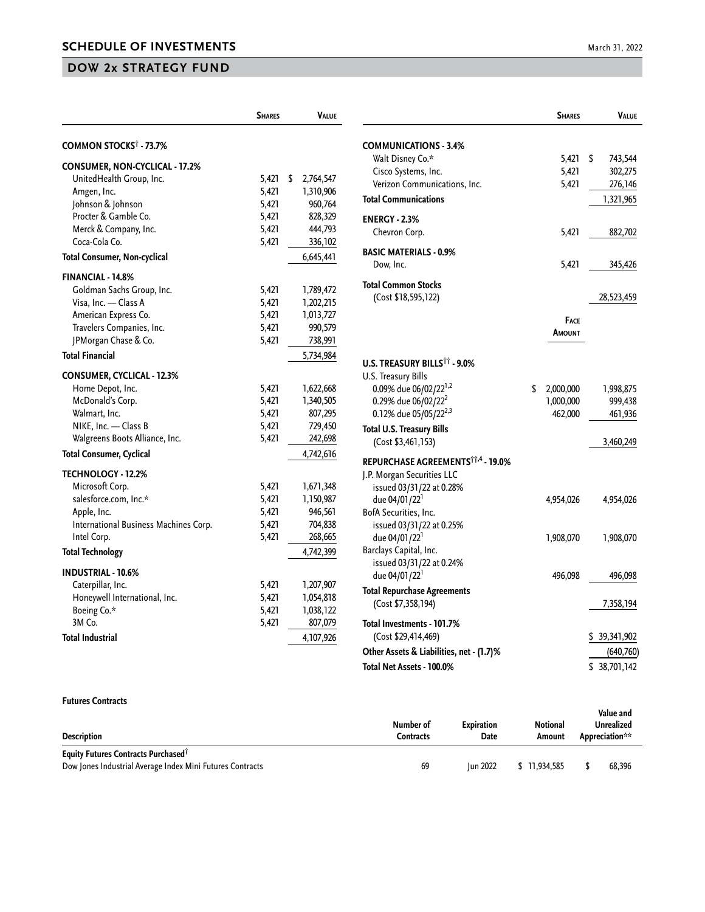## **DOW 2x STRATEGY FUND**

|                                       | <b>SHARES</b> | <b>VALUE</b>    |
|---------------------------------------|---------------|-----------------|
| COMMON STOCKS <sup>†</sup> - 73.7%    |               |                 |
| CONSUMER, NON-CYCLICAL - 17.2%        |               |                 |
| UnitedHealth Group, Inc.              | 5,421         | \$<br>2,764,547 |
| Amgen, Inc.                           | 5,421         | 1,310,906       |
| Johnson & Johnson                     | 5,421         | 960,764         |
| Procter & Gamble Co.                  | 5,421         | 828,329         |
| Merck & Company, Inc.                 | 5,421         | 444,793         |
| Coca-Cola Co.                         | 5,421         | 336,102         |
| <b>Total Consumer, Non-cyclical</b>   |               | 6,645,441       |
| <b>FINANCIAL - 14.8%</b>              |               |                 |
| Goldman Sachs Group, Inc.             | 5,421         | 1,789,472       |
| Visa, Inc. - Class A                  | 5,421         | 1,202,215       |
| American Express Co.                  | 5,421         | 1,013,727       |
| Travelers Companies, Inc.             | 5,421         | 990,579         |
| JPMorgan Chase & Co.                  | 5,421         | 738,991         |
| <b>Total Financial</b>                |               | 5,734,984       |
| <b>CONSUMER, CYCLICAL - 12.3%</b>     |               |                 |
| Home Depot, Inc.                      | 5,421         | 1,622,668       |
| McDonald's Corp.                      | 5,421         | 1,340,505       |
| Walmart, Inc.                         | 5,421         | 807,295         |
| NIKE, Inc. - Class B                  | 5,421         | 729,450         |
| Walgreens Boots Alliance, Inc.        | 5,421         | 242,698         |
| <b>Total Consumer, Cyclical</b>       |               | 4,742,616       |
| <b>TECHNOLOGY - 12.2%</b>             |               |                 |
| Microsoft Corp.                       | 5,421         | 1,671,348       |
| salesforce.com, Inc.*                 | 5,421         | 1,150,987       |
| Apple, Inc.                           | 5,421         | 946,561         |
| International Business Machines Corp. | 5,421         | 704,838         |
| Intel Corp.                           | 5,421         | 268,665         |
| <b>Total Technology</b>               |               | 4,742,399       |
| <b>INDUSTRIAL - 10.6%</b>             |               |                 |
| Caterpillar, Inc.                     | 5,421         | 1,207,907       |
| Honeywell International, Inc.         | 5,421         | 1,054,818       |
| Boeing Co.*                           | 5,421         | 1,038,122       |
| 3M Co.                                | 5,421         | 807,079         |
| <b>Total Industrial</b>               |               | 4,107,926       |

|                                                                       | <b>SHARES</b>   |               | VALUE      |
|-----------------------------------------------------------------------|-----------------|---------------|------------|
| <b>COMMUNICATIONS - 3.4%</b>                                          |                 |               |            |
| Walt Disney Co.*                                                      | 5,421           | \$            | 743,544    |
| Cisco Systems, Inc.                                                   | 5,421           |               | 302,275    |
| Verizon Communications, Inc.                                          | 5,421           |               | 276,146    |
| <b>Total Communications</b>                                           |                 |               | 1,321,965  |
| <b>ENERGY - 2.3%</b>                                                  |                 |               |            |
| Chevron Corp.                                                         | 5,421           |               | 882,702    |
| <b>BASIC MATERIALS - 0.9%</b>                                         |                 |               |            |
| Dow, Inc.                                                             | 5,421           |               | 345,426    |
| <b>Total Common Stocks</b>                                            |                 |               |            |
| (Cost \$18,595,122)                                                   |                 |               | 28,523,459 |
|                                                                       | Face            |               |            |
|                                                                       | Amount          |               |            |
|                                                                       |                 |               |            |
| <b>U.S. TREASURY BILLS<sup>TT</sup> - 9.0%</b><br>U.S. Treasury Bills |                 |               |            |
| 0.09% due 06/02/22 <sup>1,2</sup>                                     | \$<br>2,000,000 |               | 1,998,875  |
| 0.29% due 06/02/22 <sup>2</sup>                                       | 1,000,000       |               | 999,438    |
| 0.12% due 05/05/22 <sup>2,3</sup>                                     | 462,000         |               | 461,936    |
| <b>Total U.S. Treasury Bills</b>                                      |                 |               |            |
| (Cost \$3,461,153)                                                    |                 |               | 3,460,249  |
| REPURCHASE AGREEMENTS <sup>11,4</sup> - 19.0%                         |                 |               |            |
| J.P. Morgan Securities LLC                                            |                 |               |            |
| issued 03/31/22 at 0.28%                                              |                 |               |            |
| due 04/01/22 <sup>1</sup>                                             | 4,954,026       |               | 4,954,026  |
| BofA Securities, Inc.                                                 |                 |               |            |
| issued 03/31/22 at 0.25%                                              |                 |               |            |
| due 04/01/22 <sup>1</sup>                                             | 1,908,070       |               | 1,908,070  |
| Barclays Capital, Inc.                                                |                 |               |            |
| issued 03/31/22 at 0.24%                                              |                 |               |            |
| due 04/01/22 <sup>1</sup>                                             | 496,098         |               | 496,098    |
| <b>Total Repurchase Agreements</b>                                    |                 |               |            |
| (Cost \$7,358,194)                                                    |                 |               | 7,358,194  |
| Total Investments - 101.7%                                            |                 |               |            |
| (Cost \$29,414,469)                                                   |                 | \$ 39,341,902 |            |
| Other Assets & Liabilities, net - (1.7)%                              |                 |               | (640, 760) |
| Total Net Assets - 100.0%                                             |                 | \$38,701,142  |            |

## **Futures Contracts**

| <b>Description</b>                                        | Number of<br>Contracts | <b>Expiration</b><br>Date | <b>Notional</b><br>Amount | Value and<br>Unrealized<br>Appreciation** |
|-----------------------------------------------------------|------------------------|---------------------------|---------------------------|-------------------------------------------|
| Equity Futures Contracts Purchased <sup>T</sup>           |                        |                           |                           |                                           |
| Dow Jones Industrial Average Index Mini Futures Contracts | 69                     | <b>Iun 2022</b>           | \$11.934.585              | 68.396                                    |